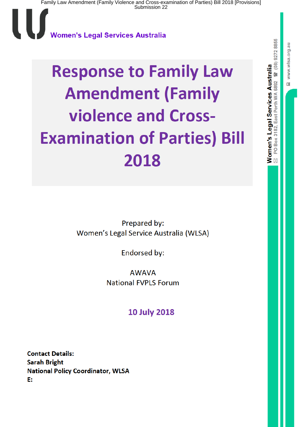l U Women's Legal Services Australia

# **Response to Family Law Amendment (Family** violence and Cross-**Examination of Parties) Bill** 2018

Prepared by: Women's Legal Service Australia (WLSA)

Endorsed by:

**AWAVA National FVPLS Forum** 

**10 July 2018** 

**Contact Details: Sarah Bright National Policy Coordinator, WLSA** E: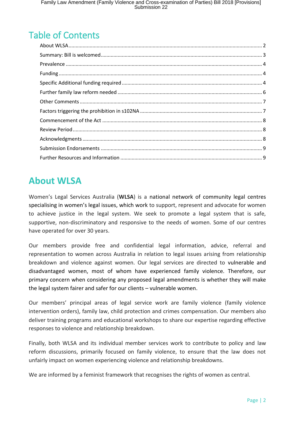# Table of Contents

#### <span id="page-1-0"></span>**About WLSA**

Women's Legal Services Australia (**WLSA**) is a national network of community legal centres specialising in women's legal issues, which work to support, represent and advocate for women to achieve justice in the legal system. We seek to promote a legal system that is safe, supportive, non-discriminatory and responsive to the needs of women. Some of our centres have operated for over 30 years.

Our members provide free and confidential legal information, advice, referral and representation to women across Australia in relation to legal issues arising from relationship breakdown and violence against women. Our legal services are directed to vulnerable and disadvantaged women, most of whom have experienced family violence. Therefore, our primary concern when considering any proposed legal amendments is whether they will make the legal system fairer and safer for our clients – vulnerable women.

Our members' principal areas of legal service work are family violence (family violence intervention orders), family law, child protection and crimes compensation. Our members also deliver training programs and educational workshops to share our expertise regarding effective responses to violence and relationship breakdown.

Finally, both WLSA and its individual member services work to contribute to policy and law reform discussions, primarily focused on family violence, to ensure that the law does not unfairly impact on women experiencing violence and relationship breakdowns.

We are informed by a feminist framework that recognises the rights of women as central.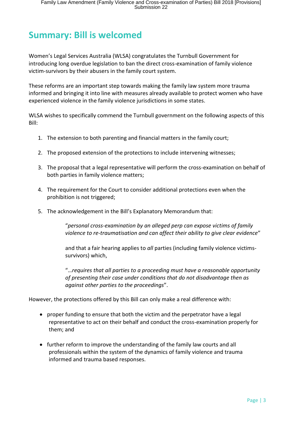## <span id="page-2-0"></span>**Summary: Bill is welcomed**

Women's Legal Services Australia (WLSA) congratulates the Turnbull Government for introducing long overdue legislation to ban the direct cross-examination of family violence victim-survivors by their abusers in the family court system.

These reforms are an important step towards making the family law system more trauma informed and bringing it into line with measures already available to protect women who have experienced violence in the family violence jurisdictions in some states.

WLSA wishes to specifically commend the Turnbull government on the following aspects of this Bill:

- 1. The extension to both parenting and financial matters in the family court;
- 2. The proposed extension of the protections to include intervening witnesses;
- 3. The proposal that a legal representative will perform the cross-examination on behalf of both parties in family violence matters;
- 4. The requirement for the Court to consider additional protections even when the prohibition is not triggered;
- 5. The acknowledgement in the Bill's Explanatory Memorandum that:

"*personal cross-examination by an alleged perp can expose victims of family violence to re-traumatisation and can affect their ability to give clear evidence*"

and that a fair hearing applies to *all* parties (including family violence victimssurvivors) which,

"…*requires that all parties to a proceeding must have a reasonable opportunity of presenting their case under conditions that do not disadvantage then as against other parties to the proceedings*".

However, the protections offered by this Bill can only make a real difference with:

- proper funding to ensure that both the victim and the perpetrator have a legal representative to act on their behalf and conduct the cross-examination properly for them; and
- further reform to improve the understanding of the family law courts and all professionals within the system of the dynamics of family violence and trauma informed and trauma based responses.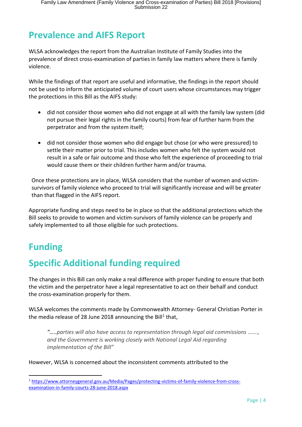## <span id="page-3-0"></span>**Prevalence and AIFS Report**

WLSA acknowledges the report from the Australian Institute of Family Studies into the prevalence of direct cross-examination of parties in family law matters where there is family violence.

While the findings of that report are useful and informative, the findings in the report should not be used to inform the anticipated volume of court users whose circumstances may trigger the protections in this Bill as the AIFS study:

- did not consider those women who did not engage at all with the family law system (did not pursue their legal rights in the family courts) from fear of further harm from the perpetrator and from the system itself;
- did not consider those women who did engage but chose (or who were pressured) to settle their matter prior to trial. This includes women who felt the system would not result in a safe or fair outcome and those who felt the experience of proceeding to trial would cause them or their children further harm and/or trauma.

Once these protections are in place, WLSA considers that the number of women and victimsurvivors of family violence who proceed to trial will significantly increase and will be greater than that flagged in the AIFS report.

Appropriate funding and steps need to be in place so that the additional protections which the Bill seeks to provide to women and victim-survivors of family violence can be properly and safely implemented to all those eligible for such protections.

## <span id="page-3-1"></span>**Funding**

 $\overline{a}$ 

## <span id="page-3-2"></span>**Specific Additional funding required**

The changes in this Bill can only make a real difference with proper funding to ensure that both the victim and the perpetrator have a legal representative to act on their behalf and conduct the cross-examination properly for them.

WLSA welcomes the comments made by Commonwealth Attorney- General Christian Porter in the media release of 28 June 2018 announcing the Bill<sup>1</sup> that,

*"…..parties will also have access to representation through legal aid commissions ……., and the Government is working closely with National Legal Aid regarding implementation of the Bill"*

However, WLSA is concerned about the inconsistent comments attributed to the

<sup>1</sup> https://www.attorneygeneral.gov.au/Media/Pages/protecting-victims-of-family-violence-from-crossexamination-in-family-courts-28-june-2018.aspx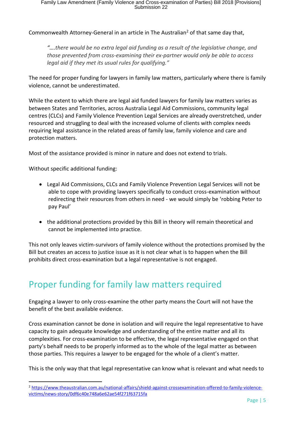Commonwealth Attorney-General in an article in The Australian<sup>2</sup> of that same day that,

*"….there would be no extra legal aid funding as a result of the legislative change, and those prevented from cross-examining their ex-partner would only be able to access legal aid if they met its usual rules for qualifying."*

The need for proper funding for lawyers in family law matters, particularly where there is family violence, cannot be underestimated.

While the extent to which there are legal aid funded lawyers for family law matters varies as between States and Territories, across Australia Legal Aid Commissions, community legal centres (CLCs) and Family Violence Prevention Legal Services are already overstretched, under resourced and struggling to deal with the increased volume of clients with complex needs requiring legal assistance in the related areas of family law, family violence and care and protection matters.

Most of the assistance provided is minor in nature and does not extend to trials.

Without specific additional funding:

 $\overline{\phantom{a}}$ 

- Legal Aid Commissions, CLCs and Family Violence Prevention Legal Services will not be able to cope with providing lawyers specifically to conduct cross-examination without redirecting their resources from others in need - we would simply be 'robbing Peter to pay Paul'
- the additional protections provided by this Bill in theory will remain theoretical and cannot be implemented into practice.

This not only leaves victim-survivors of family violence without the protections promised by the Bill but creates an access to justice issue as it is not clear what is to happen when the Bill prohibits direct cross-examination but a legal representative is not engaged.

#### Proper funding for family law matters required

Engaging a lawyer to only cross-examine the other party means the Court will not have the benefit of the best available evidence.

Cross examination cannot be done in isolation and will require the legal representative to have capacity to gain adequate knowledge and understanding of the entire matter and all its complexities. For cross-examination to be effective, the legal representative engaged on that party's behalf needs to be properly informed as to the whole of the legal matter as between those parties. This requires a lawyer to be engaged for the whole of a client's matter.

This is the only way that that legal representative can know what is relevant and what needs to

<sup>2</sup> https://www.theaustralian.com.au/national-affairs/shield-against-crossexamination-offered-to-family-violencevictims/news-story/0df6c40e748a6e62ae54f271f63715fa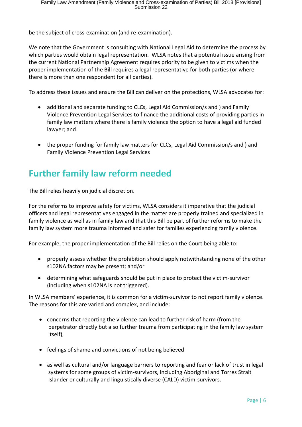be the subject of cross-examination (and re-examination).

We note that the Government is consulting with National Legal Aid to determine the process by which parties would obtain legal representation. WLSA notes that a potential issue arising from the current National Partnership Agreement requires priority to be given to victims when the proper implementation of the Bill requires a legal representative for both parties (or where there is more than one respondent for all parties).

To address these issues and ensure the Bill can deliver on the protections, WLSA advocates for:

- additional and separate funding to CLCs, Legal Aid Commission/s and ) and Family Violence Prevention Legal Services to finance the additional costs of providing parties in family law matters where there is family violence the option to have a legal aid funded lawyer; and
- the proper funding for family law matters for CLCs, Legal Aid Commission/s and ) and Family Violence Prevention Legal Services

#### <span id="page-5-0"></span>**Further family law reform needed**

The Bill relies heavily on judicial discretion.

For the reforms to improve safety for victims, WLSA considers it imperative that the judicial officers and legal representatives engaged in the matter are properly trained and specialized in family violence as well as in family law and that this Bill be part of further reforms to make the family law system more trauma informed and safer for families experiencing family violence.

For example, the proper implementation of the Bill relies on the Court being able to:

- properly assess whether the prohibition should apply notwithstanding none of the other s102NA factors may be present; and/or
- determining what safeguards should be put in place to protect the victim-survivor (including when s102NA is not triggered).

In WLSA members' experience, it is common for a victim-survivor to not report family violence. The reasons for this are varied and complex, and include:

- concerns that reporting the violence can lead to further risk of harm (from the perpetrator directly but also further trauma from participating in the family law system itself),
- feelings of shame and convictions of not being believed
- as well as cultural and/or language barriers to reporting and fear or lack of trust in legal systems for some groups of victim-survivors, including Aboriginal and Torres Strait Islander or culturally and linguistically diverse (CALD) victim-survivors.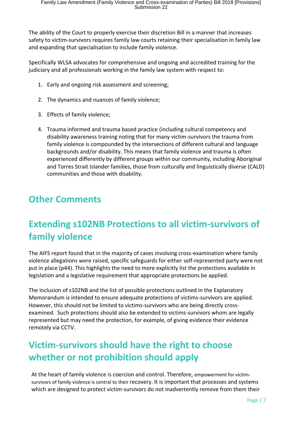The ability of the Court to properly exercise their discretion Bill in a manner that increases safety to victim-survivors requires family law courts retaining their specialisation in family law and expanding that specialisation to include family violence.

Specifically WLSA advocates for comprehensive and ongoing and accredited training for the judiciary and all professionals working in the family law system with respect to:

- 1. Early and ongoing risk assessment and screening;
- 2. The dynamics and nuances of family violence;
- 3. Effects of family violence;
- 4. Trauma informed and trauma based practice (including cultural competency and disability awareness training noting that for many victim-survivors the trauma from family violence is compounded by the intersections of different cultural and language backgrounds and/or disability. This means that family violence and trauma is often experienced differently by different groups within our community, including Aboriginal and Torres Strait Islander families, those from culturally and linguistically diverse (CALD) communities and those with disability.

#### <span id="page-6-1"></span><span id="page-6-0"></span>**Other Comments**

## **Extending s102NB Protections to all victim-survivors of family violence**

The AIFS report found that in the majority of cases involving cross-examination where family violence allegations were raised, specific safeguards for either self-represented party were not put in place (p44). This highlights the need to more explicitly list the protections available in legislation and a legislative requirement that appropriate protections be applied.

The inclusion of s102NB and the list of possible protections outlined in the Explanatory Memorandum is intended to ensure adequate protections of victims-survivors are applied. However, this should not be limited to victims-survivors who are being directly crossexamined. Such protections should also be extended to victims-survivors whom are legally represented but may need the protection, for example, of giving evidence their evidence remotely via CCTV.

## **Victim-survivors should have the right to choose whether or not prohibition should apply**

At the heart of family violence is coercion and control. Therefore, empowerment for victimsurvivors of family violence is central to their recovery. It is important that processes and systems which are designed to protect victim-survivors do not inadvertently remove from them their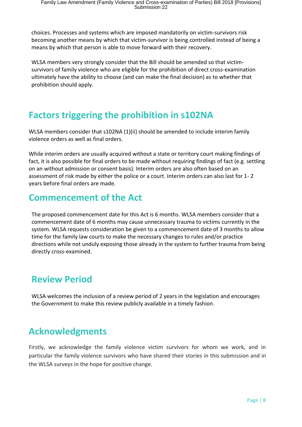choices. Processes and systems which are imposed mandatorily on victim-survivors risk becoming another means by which that victim-survivor is being controlled instead of being a means by which that person is able to move forward with their recovery.

WLSA members very strongly consider that the Bill should be amended so that victimsurvivors of family violence who are eligible for the prohibition of direct cross-examination ultimately have the ability to choose (and can make the final decision) as to whether that prohibition should apply.

#### **Factors triggering the prohibition in s102NA**

WLSA members consider that s102NA (1)(ii) should be amended to include interim family violence orders as well as final orders.

While interim orders are usually acquired without a state or territory court making findings of fact, it is also possible for final orders to be made without requiring findings of fact (e.g. settling on an without admission or consent basis). Interim orders are also often based on an assessment of risk made by either the police or a court. Interim orders can also last for 1- 2 years before final orders are made.

#### <span id="page-7-0"></span>**Commencement of the Act**

The proposed commencement date for this Act is 6 months. WLSA members consider that a commencement date of 6 months may cause unnecessary trauma to victims currently in the system. WLSA requests consideration be given to a commencement date of 3 months to allow time for the family law courts to make the necessary changes to rules and/or practice directions while not unduly exposing those already in the system to further trauma from being directly cross-examined.

#### <span id="page-7-1"></span>**Review Period**

WLSA welcomes the inclusion of a review period of 2 years in the legislation and encourages the Government to make this review publicly available in a timely fashion.

## <span id="page-7-2"></span>**Acknowledgments**

Firstly, we acknowledge the family violence victim survivors for whom we work, and in particular the family violence survivors who have shared their stories in this submission and in the WLSA surveys in the hope for positive change.